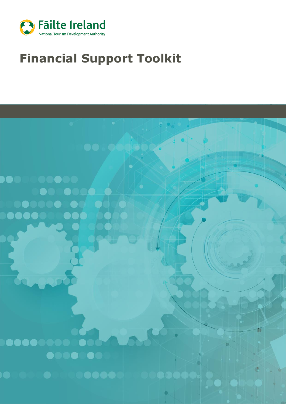

# **Financial Support Toolkit**

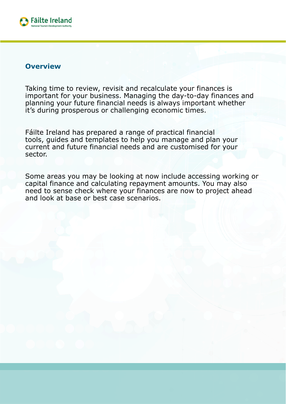

#### **Overview**

Taking time to review, revisit and recalculate your finances is important for your business. Managing the day-to-day finances and planning your future financial needs is always important whether it's during prosperous or challenging economic times.

Fáilte Ireland has prepared a range of practical financial tools, guides and templates to help you manage and plan your current and future financial needs and are customised for your sector.

Some areas you may be looking at now include accessing working or capital finance and calculating repayment amounts. You may also need to sense check where your finances are now to project ahead and look at base or best case scenarios.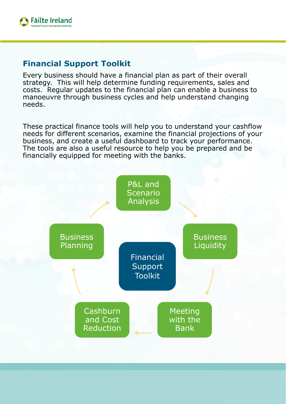

## **Financial Support Toolkit**

Every business should have a financial plan as part of their overall strategy. This will help determine funding requirements, sales and costs. Regular updates to the financial plan can enable a business to manoeuvre through business cycles and help understand changing needs.

These practical finance tools will help you to understand your cashflow needs for different scenarios, examine the financial projections of your business, and create a useful dashboard to track your performance. The tools are also a useful resource to help you be prepared and be financially equipped for meeting with the banks.

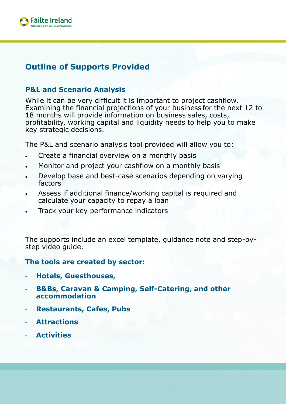

## **Outline of Supports Provided**

### **P&L and Scenario Analysis**

While it can be very difficult it is important to project cashflow. Examining the financial projections of your business for the next 12 to 18 months will provide information on business sales, costs, profitability, working capital and liquidity needs to help you to make key strategic decisions.

The P&L and scenario analysis tool provided will allow you to:

- Create a financial overview on a monthly basis
- Monitor and project your cashflow on a monthly basis
- Develop base and best-case scenarios depending on varying factors
- Assess if additional finance/working capital is required and calculate your capacity to repay a loan
- Track your key performance indicators

The supports include an excel template, guidance note and step-bystep video guide.

#### **The tools are created by sector:**

- **Hotels, Guesthouses,**
- **B&Bs, Caravan & Camping, Self-Catering, and other accommodation**
- **Restaurants, Cafes, Pubs**
- **Attractions**
- **Activities**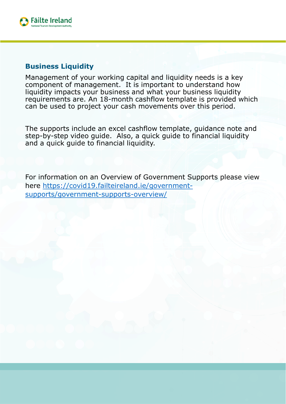

#### **Business Liquidity**

Management of your working capital and liquidity needs is a key component of management. It is important to understand how liquidity impacts your business and what your business liquidity requirements are. An 18-month cashflow template is provided which can be used to project your cash movements over this period.

The supports include an excel cashflow template, guidance note and step-by-step video guide. Also, a quick guide to financial liquidity and a quick guide to financial liquidity.

For information on an Overview of Government Supports please view [here https://covid19.failteireland.ie/government](https://covid19.failteireland.ie/government-supports/government-supports-overview/)supports/government-supports-overview/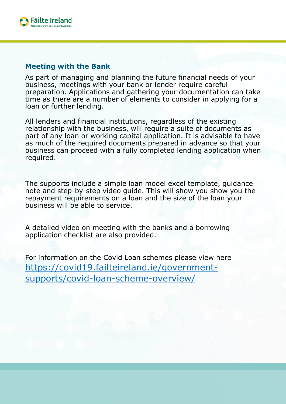

#### **Meeting with the Bank**

As part of managing and planning the future financial needs of your business, meetings with your bank or lender require careful preparation. Applications and gathering your documentation can take time as there are a number of elements to consider in applying for a loan or further lending.

All lenders and financial institutions, regardless of the existing relationship with the business, will require a suite of documents as part of any loan or working capital application. It is advisable to have as much of the required documents prepared in advance so that your business can proceed with a fully completed lending application when required.

The supports include a simple loan model excel template, guidance note and step-by-step video guide. This will show you show you the repayment requirements on a loan and the size of the loan your business will be able to service.

A detailed video on meeting with the banks and a borrowing application checklist are also provided.

For information on the Covid Loan schemes please view here [https://covid19.failteireland.ie/government](https://covid19.failteireland.ie/government-supports/covid-loan-scheme-overview/)supports/covid-loan-scheme-overview/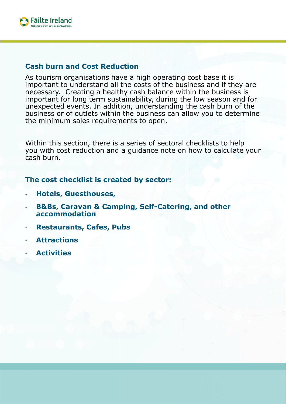

#### **Cash burn and Cost Reduction**

As tourism organisations have a high operating cost base it is important to understand all the costs of the business and if they are necessary. Creating a healthy cash balance within the business is important for long term sustainability, during the low season and for unexpected events. In addition, understanding the cash burn of the business or of outlets within the business can allow you to determine the minimum sales requirements to open.

Within this section, there is a series of sectoral checklists to help you with cost reduction and a guidance note on how to calculate your cash burn.

#### **The cost checklist is created by sector:**

- **Hotels, Guesthouses,**
- **B&Bs, Caravan & Camping, Self-Catering, and other accommodation**
- **Restaurants, Cafes, Pubs**
- **Attractions**
- **Activities**